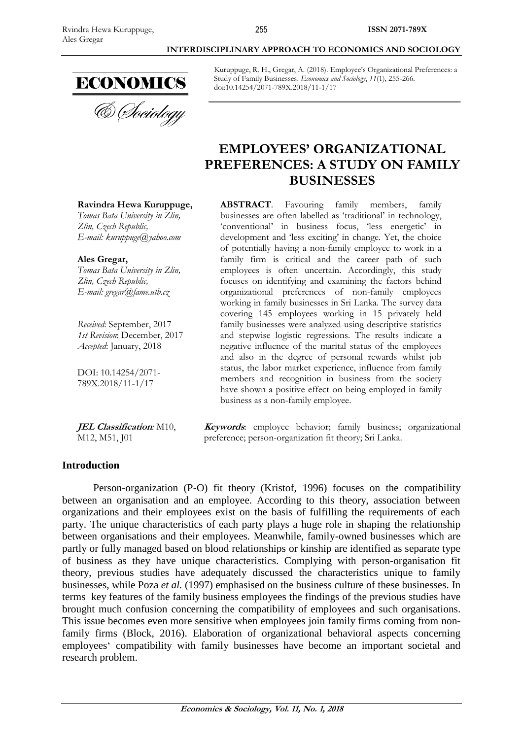

& *Cheiology* 

Kuruppuge, R. H., Gregar, A. (2018). Employee's Organizational Preferences: a Study of Family Businesses. *Economics and Sociology*, *11*(1), 255-266. doi:10.14254/2071-789X.2018/11-1/17

# **EMPLOYEES' ORGANIZATIONAL PREFERENCES: A STUDY ON FAMILY BUSINESSES**

**ABSTRACT**. Favouring family members, family businesses are often labelled as 'traditional' in technology, 'conventional' in business focus, 'less energetic' in development and 'less exciting' in change. Yet, the choice of potentially having a non-family employee to work in a family firm is critical and the career path of such employees is often uncertain. Accordingly, this study focuses on identifying and examining the factors behind organizational preferences of non-family employees working in family businesses in Sri Lanka. The survey data covering 145 employees working in 15 privately held family businesses were analyzed using descriptive statistics and stepwise logistic regressions. The results indicate a negative influence of the marital status of the employees and also in the degree of personal rewards whilst job status, the labor market experience, influence from family members and recognition in business from the society have shown a positive effect on being employed in family business as a non-family employee.

**Keywords**: employee behavior; family business; organizational preference; person-organization fit theory; Sri Lanka.

#### **Introduction**

Person-organization (P-O) fit theory (Kristof, 1996) focuses on the compatibility between an organisation and an employee. According to this theory, association between organizations and their employees exist on the basis of fulfilling the requirements of each party. The unique characteristics of each party plays a huge role in shaping the relationship between organisations and their employees. Meanwhile, family-owned businesses which are partly or fully managed based on blood relationships or kinship are identified as separate type of business as they have unique characteristics. Complying with person-organisation fit theory, previous studies have adequately discussed the characteristics unique to family businesses, while Poza *et al.* (1997) emphasised on the business culture of these businesses. In terms key features of the family business employees the findings of the previous studies have brought much confusion concerning the compatibility of employees and such organisations. This issue becomes even more sensitive when employees join family firms coming from nonfamily firms (Block, 2016). Elaboration of organizational behavioral aspects concerning employees' compatibility with family businesses have become an important societal and research problem.

**Ravindra Hewa Kuruppuge,** *Tomas Bata University in Zlin,*

*Zlin, Czech Republic, E-mail: [kuruppuge@yahoo.com](mailto:kuruppuge@yahoo.com)*

**Ales Gregar,** *Tomas Bata University in Zlin, Zlin, Czech Republic, E-mail: [gregar@fame.utb.cz](mailto:gregar@fame.utb.cz)*

*Received*: September, 2017 *1st Revision*: December, 2017 *Accepted*: January, 2018

DOI: 10.14254/2071- 789X.2018/11-1/17

**JEL Classification***:* M10, M12, M51, J01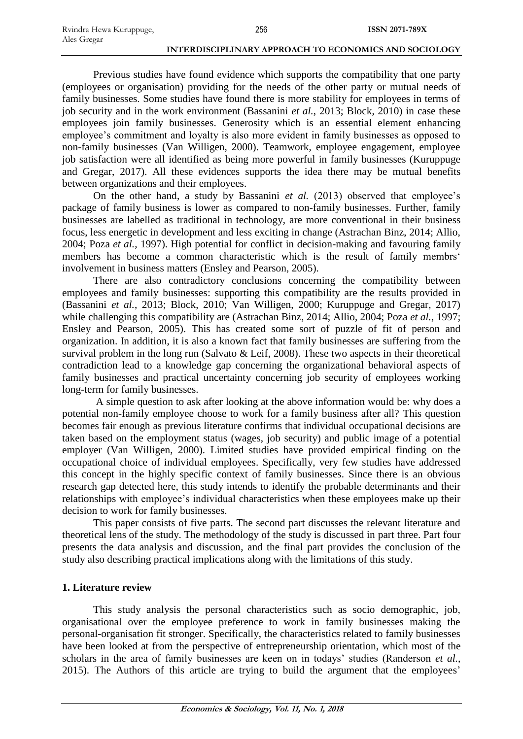Previous studies have found evidence which supports the compatibility that one party (employees or organisation) providing for the needs of the other party or mutual needs of family businesses. Some studies have found there is more stability for employees in terms of job security and in the work environment (Bassanini *et al.*, 2013; Block, 2010) in case these employees join family businesses. Generosity which is an essential element enhancing employee's commitment and loyalty is also more evident in family businesses as opposed to non-family businesses (Van Willigen, 2000). Teamwork, employee engagement, employee job satisfaction were all identified as being more powerful in family businesses (Kuruppuge and Gregar, 2017). All these evidences supports the idea there may be mutual benefits between organizations and their employees.

On the other hand, a study by Bassanini *et al.* (2013) observed that employee's package of family business is lower as compared to non-family businesses. Further, family businesses are labelled as traditional in technology, are more conventional in their business focus, less energetic in development and less exciting in change (Astrachan Binz, 2014; Allio, 2004; Poza *et al.*, 1997). High potential for conflict in decision-making and favouring family members has become a common characteristic which is the result of family membrs' involvement in business matters (Ensley and Pearson, 2005).

There are also contradictory conclusions concerning the compatibility between employees and family businesses: supporting this compatibility are the results provided in (Bassanini *et al.*, 2013; Block, 2010; Van Willigen, 2000; Kuruppuge and Gregar, 2017) while challenging this compatibility are (Astrachan Binz, 2014; Allio, 2004; Poza *et al.*, 1997; Ensley and Pearson, 2005). This has created some sort of puzzle of fit of person and organization. In addition, it is also a known fact that family businesses are suffering from the survival problem in the long run (Salvato & Leif, 2008). These two aspects in their theoretical contradiction lead to a knowledge gap concerning the organizational behavioral aspects of family businesses and practical uncertainty concerning job security of employees working long-term for family businesses.

A simple question to ask after looking at the above information would be: why does a potential non-family employee choose to work for a family business after all? This question becomes fair enough as previous literature confirms that individual occupational decisions are taken based on the employment status (wages, job security) and public image of a potential employer (Van Willigen, 2000). Limited studies have provided empirical finding on the occupational choice of individual employees. Specifically, very few studies have addressed this concept in the highly specific context of family businesses. Since there is an obvious research gap detected here, this study intends to identify the probable determinants and their relationships with employee's individual characteristics when these employees make up their decision to work for family businesses.

This paper consists of five parts. The second part discusses the relevant literature and theoretical lens of the study. The methodology of the study is discussed in part three. Part four presents the data analysis and discussion, and the final part provides the conclusion of the study also describing practical implications along with the limitations of this study.

#### **1. Literature review**

This study analysis the personal characteristics such as socio demographic, job, organisational over the employee preference to work in family businesses making the personal-organisation fit stronger. Specifically, the characteristics related to family businesses have been looked at from the perspective of entrepreneurship orientation, which most of the scholars in the area of family businesses are keen on in todays' studies (Randerson *et al.*, 2015). The Authors of this article are trying to build the argument that the employees'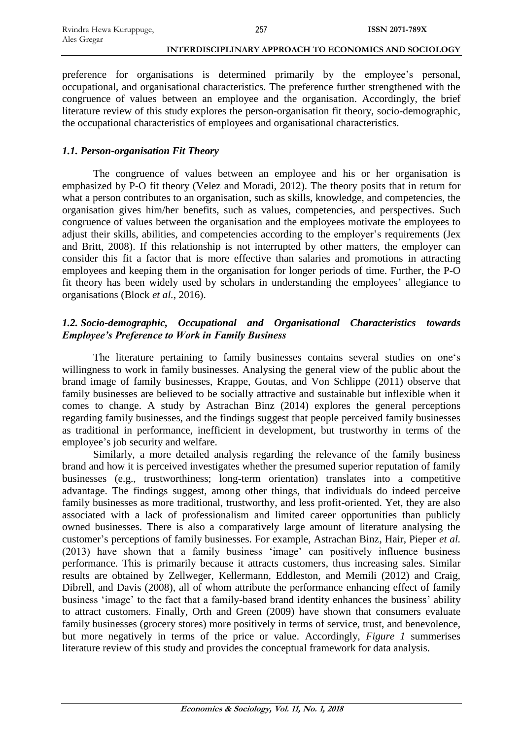preference for organisations is determined primarily by the employee's personal, occupational, and organisational characteristics. The preference further strengthened with the congruence of values between an employee and the organisation. Accordingly, the brief literature review of this study explores the person-organisation fit theory, socio-demographic, the occupational characteristics of employees and organisational characteristics.

### *1.1. Person-organisation Fit Theory*

The congruence of values between an employee and his or her organisation is emphasized by P-O fit theory (Velez and Moradi, 2012). The theory posits that in return for what a person contributes to an organisation, such as skills, knowledge, and competencies, the organisation gives him/her benefits, such as values, competencies, and perspectives. Such congruence of values between the organisation and the employees motivate the employees to adjust their skills, abilities, and competencies according to the employer's requirements (Jex and Britt, 2008). If this relationship is not interrupted by other matters, the employer can consider this fit a factor that is more effective than salaries and promotions in attracting employees and keeping them in the organisation for longer periods of time. Further, the P-O fit theory has been widely used by scholars in understanding the employees' allegiance to organisations (Block *et al.*, 2016).

# *1.2. Socio-demographic, Occupational and Organisational Characteristics towards Employee's Preference to Work in Family Business*

The literature pertaining to family businesses contains several studies on one's willingness to work in family businesses. Analysing the general view of the public about the brand image of family businesses, Krappe, Goutas, and Von Schlippe (2011) observe that family businesses are believed to be socially attractive and sustainable but inflexible when it comes to change. A study by Astrachan Binz (2014) explores the general perceptions regarding family businesses, and the findings suggest that people perceived family businesses as traditional in performance, inefficient in development, but trustworthy in terms of the employee's job security and welfare.

Similarly, a more detailed analysis regarding the relevance of the family business brand and how it is perceived investigates whether the presumed superior reputation of family businesses (e.g., trustworthiness; long-term orientation) translates into a competitive advantage. The findings suggest, among other things, that individuals do indeed perceive family businesses as more traditional, trustworthy, and less profit-oriented. Yet, they are also associated with a lack of professionalism and limited career opportunities than publicly owned businesses. There is also a comparatively large amount of literature analysing the customer's perceptions of family businesses. For example, Astrachan Binz, Hair, Pieper *et al.* (2013) have shown that a family business 'image' can positively influence business performance. This is primarily because it attracts customers, thus increasing sales. Similar results are obtained by Zellweger, Kellermann, Eddleston, and Memili (2012) and Craig, Dibrell, and Davis (2008), all of whom attribute the performance enhancing effect of family business 'image' to the fact that a family-based brand identity enhances the business' ability to attract customers. Finally, Orth and Green (2009) have shown that consumers evaluate family businesses (grocery stores) more positively in terms of service, trust, and benevolence, but more negatively in terms of the price or value. Accordingly, *Figure 1* summerises literature review of this study and provides the conceptual framework for data analysis.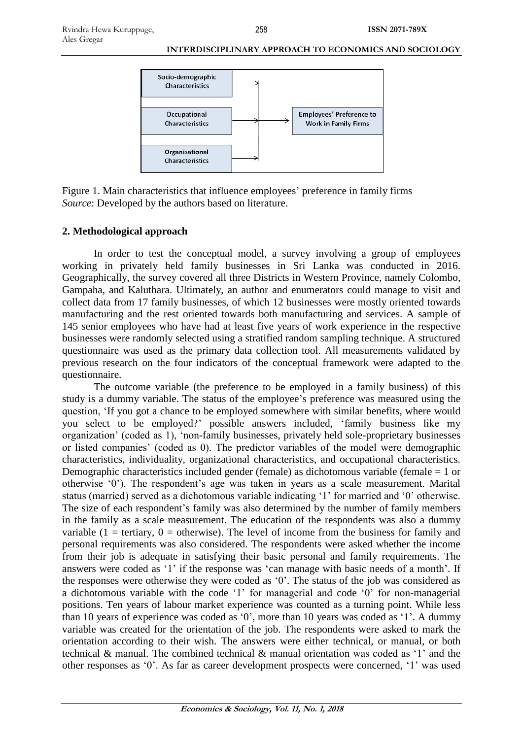

Figure 1. Main characteristics that influence employees' preference in family firms *Source*: Developed by the authors based on literature.

# **2. Methodological approach**

In order to test the conceptual model, a survey involving a group of employees working in privately held family businesses in Sri Lanka was conducted in 2016. Geographically, the survey covered all three Districts in Western Province, namely Colombo, Gampaha, and Kaluthara. Ultimately, an author and enumerators could manage to visit and collect data from 17 family businesses, of which 12 businesses were mostly oriented towards manufacturing and the rest oriented towards both manufacturing and services. A sample of 145 senior employees who have had at least five years of work experience in the respective businesses were randomly selected using a stratified random sampling technique. A structured questionnaire was used as the primary data collection tool. All measurements validated by previous research on the four indicators of the conceptual framework were adapted to the questionnaire.

The outcome variable (the preference to be employed in a family business) of this study is a dummy variable. The status of the employee's preference was measured using the question, 'If you got a chance to be employed somewhere with similar benefits, where would you select to be employed?' possible answers included, 'family business like my organization' (coded as 1), 'non-family businesses, privately held sole-proprietary businesses or listed companies' (coded as 0). The predictor variables of the model were demographic characteristics, individuality, organizational characteristics, and occupational characteristics. Demographic characteristics included gender (female) as dichotomous variable (female = 1 or otherwise '0'). The respondent's age was taken in years as a scale measurement. Marital status (married) served as a dichotomous variable indicating '1' for married and '0' otherwise. The size of each respondent's family was also determined by the number of family members in the family as a scale measurement. The education of the respondents was also a dummy variable  $(1 = \text{tertiary}, 0 = \text{otherwise})$ . The level of income from the business for family and personal requirements was also considered. The respondents were asked whether the income from their job is adequate in satisfying their basic personal and family requirements. The answers were coded as '1' if the response was 'can manage with basic needs of a month'. If the responses were otherwise they were coded as '0'. The status of the job was considered as a dichotomous variable with the code '1' for managerial and code '0' for non-managerial positions. Ten years of labour market experience was counted as a turning point. While less than 10 years of experience was coded as '0', more than 10 years was coded as '1'. A dummy variable was created for the orientation of the job. The respondents were asked to mark the orientation according to their wish. The answers were either technical, or manual, or both technical & manual. The combined technical & manual orientation was coded as '1' and the other responses as '0'. As far as career development prospects were concerned, '1' was used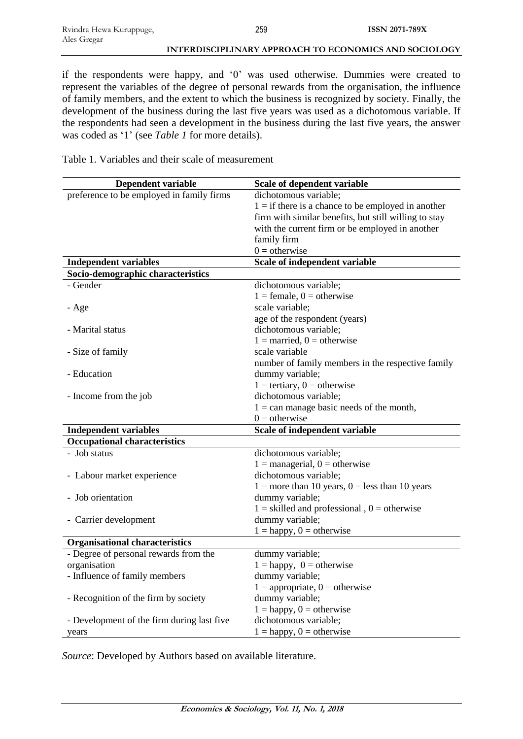if the respondents were happy, and '0' was used otherwise. Dummies were created to represent the variables of the degree of personal rewards from the organisation, the influence of family members, and the extent to which the business is recognized by society. Finally, the development of the business during the last five years was used as a dichotomous variable. If the respondents had seen a development in the business during the last five years, the answer was coded as '1' (see *Table 1* for more details).

Table 1. Variables and their scale of measurement

| Dependent variable                         | Scale of dependent variable                           |
|--------------------------------------------|-------------------------------------------------------|
| preference to be employed in family firms  | dichotomous variable;                                 |
|                                            | $1 =$ if there is a chance to be employed in another  |
|                                            | firm with similar benefits, but still willing to stay |
|                                            | with the current firm or be employed in another       |
|                                            | family firm                                           |
|                                            | $0 =$ otherwise                                       |
| <b>Independent variables</b>               | Scale of independent variable                         |
| Socio-demographic characteristics          |                                                       |
| - Gender                                   | dichotomous variable;                                 |
|                                            | $1 =$ female, $0 =$ otherwise                         |
| - Age                                      | scale variable;                                       |
|                                            | age of the respondent (years)                         |
| - Marital status                           | dichotomous variable;                                 |
|                                            | $1 =$ married, $0 =$ otherwise                        |
| - Size of family                           | scale variable                                        |
|                                            | number of family members in the respective family     |
| - Education                                | dummy variable;                                       |
|                                            | $1 =$ tertiary, $0 =$ otherwise                       |
| - Income from the job                      | dichotomous variable;                                 |
|                                            | $1 =$ can manage basic needs of the month,            |
|                                            | $0 =$ otherwise                                       |
| <b>Independent variables</b>               | Scale of independent variable                         |
| <b>Occupational characteristics</b>        |                                                       |
| - Job status                               | dichotomous variable;                                 |
|                                            | $1 =$ managerial, $0 =$ otherwise                     |
| - Labour market experience                 | dichotomous variable;                                 |
|                                            | $1 =$ more than 10 years, $0 =$ less than 10 years    |
| - Job orientation                          | dummy variable;                                       |
|                                            | $1 =$ skilled and professional, $0 =$ otherwise       |
| - Carrier development                      | dummy variable;                                       |
|                                            | $1 =$ happy, $0 =$ otherwise                          |
| <b>Organisational characteristics</b>      |                                                       |
| - Degree of personal rewards from the      | dummy variable;                                       |
| organisation                               | $1 =$ happy, $0 =$ otherwise                          |
| - Influence of family members              | dummy variable;                                       |
|                                            | $1 =$ appropriate, $0 =$ otherwise                    |
| - Recognition of the firm by society       | dummy variable;                                       |
|                                            | $1 =$ happy, $0 =$ otherwise                          |
| - Development of the firm during last five | dichotomous variable;                                 |
| years                                      | $1 =$ happy, $0 =$ otherwise                          |

*Source*: Developed by Authors based on available literature.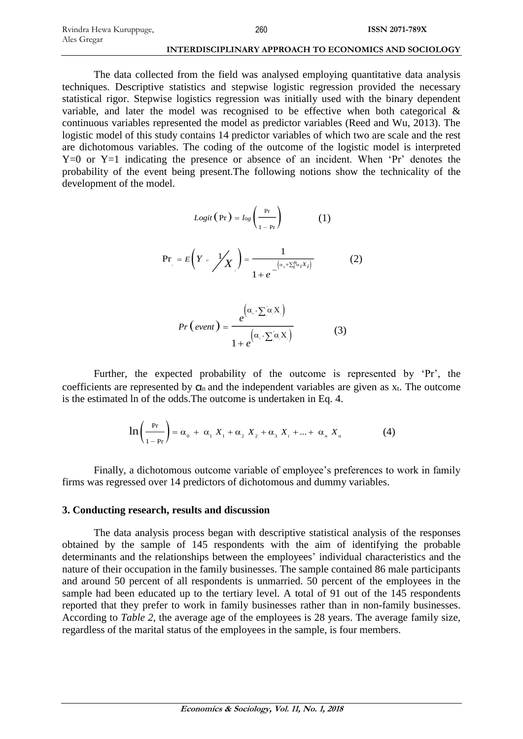The data collected from the field was analysed employing quantitative data analysis techniques. Descriptive statistics and stepwise logistic regression provided the necessary statistical rigor. Stepwise logistics regression was initially used with the binary dependent variable, and later the model was recognised to be effective when both categorical & continuous variables represented the model as predictor variables (Reed and Wu, 2013). The logistic model of this study contains 14 predictor variables of which two are scale and the rest are dichotomous variables. The coding of the outcome of the logistic model is interpreted Y=0 or Y=1 indicating the presence or absence of an incident. When 'Pr' denotes the probability of the event being present.The following notions show the technicality of the development of the model.

$$
Logit(\Pr) = \log\left(\frac{\Pr}{1 - \Pr}\right) \tag{1}
$$

$$
\Pr_{i} = E\left(Y = \frac{1}{X}\right) = \frac{1}{1 + e^{-\left(\alpha_{0} + \sum_{i=1}^{n} X_{i}\right)}} \tag{2}
$$

$$
Pr\left(\text{event}\right) = \frac{e^{(\alpha_{*} + \sum_{i}^{\alpha} X_{i})}}{1 + e^{(\alpha_{*} + \sum_{i}^{\alpha} X_{i})}}
$$
(3)

Further, the expected probability of the outcome is represented by 'Pr', the coefficients are represented by  $\alpha_n$  and the independent variables are given as  $x_t$ . The outcome is the estimated ln of the odds.The outcome is undertaken in Eq. 4.

$$
\ln\left(\frac{P_r}{1-P_r}\right) = \alpha_0 + \alpha_1 X_1 + \alpha_2 X_2 + \alpha_3 X_1 + \dots + \alpha_n X_n \tag{4}
$$

Finally, a dichotomous outcome variable of employee's preferences to work in family firms was regressed over 14 predictors of dichotomous and dummy variables.

#### **3. Conducting research, results and discussion**

The data analysis process began with descriptive statistical analysis of the responses obtained by the sample of 145 respondents with the aim of identifying the probable determinants and the relationships between the employees' individual characteristics and the nature of their occupation in the family businesses. The sample contained 86 male participants and around 50 percent of all respondents is unmarried. 50 percent of the employees in the sample had been educated up to the tertiary level. A total of 91 out of the 145 respondents reported that they prefer to work in family businesses rather than in non-family businesses. According to *Table 2*, the average age of the employees is 28 years. The average family size, regardless of the marital status of the employees in the sample, is four members.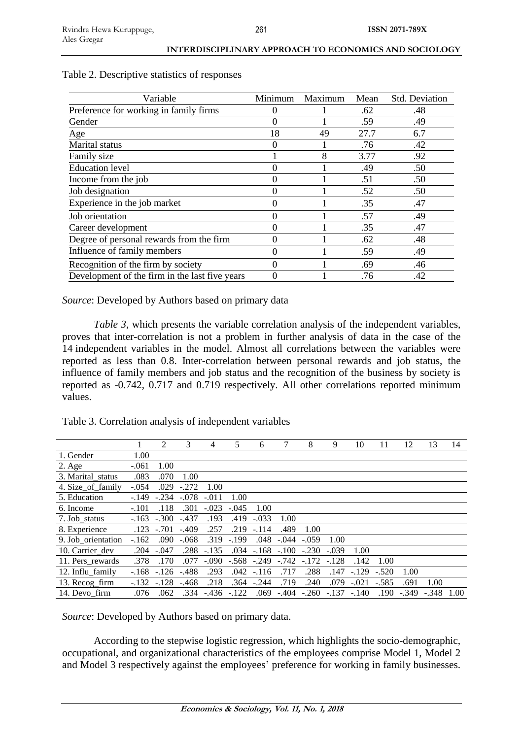| INTERDISCIPLINARY APPROACH TO ECONOMICS AND SOCIOLOGY |  |
|-------------------------------------------------------|--|
|-------------------------------------------------------|--|

| Variable                                       | Minimum | Maximum | Mean | Std. Deviation |
|------------------------------------------------|---------|---------|------|----------------|
| Preference for working in family firms         | 0       |         | .62  | .48            |
| Gender                                         | 0       |         | .59  | .49            |
| Age                                            | 18      | 49      | 27.7 | 6.7            |
| Marital status                                 | 0       |         | .76  | .42            |
| Family size                                    |         | 8       | 3.77 | .92            |
| <b>Education</b> level                         |         |         | .49  | .50            |
| Income from the job                            | 0       |         | .51  | .50            |
| Job designation                                | 0       |         | .52  | .50            |
| Experience in the job market                   | 0       |         | .35  | .47            |
| Job orientation                                | 0       |         | .57  | .49            |
| Career development                             | 0       |         | .35  | .47            |
| Degree of personal rewards from the firm       | 0       |         | .62  | .48            |
| Influence of family members                    | 0       |         | .59  | .49            |
| Recognition of the firm by society             | 0       |         | .69  | .46            |
| Development of the firm in the last five years | 0       |         | .76  | .42            |

Table 2. Descriptive statistics of responses

*Source*: Developed by Authors based on primary data

*Table 3*, which presents the variable correlation analysis of the independent variables, proves that inter-correlation is not a problem in further analysis of data in the case of the 14 independent variables in the model. Almost all correlations between the variables were reported as less than 0.8. Inter-correlation between personal rewards and job status, the influence of family members and job status and the recognition of the business by society is reported as -0.742, 0.717 and 0.719 respectively. All other correlations reported minimum values.

Table 3. Correlation analysis of independent variables

|                    |         | 2       | 3       | 4       | 5       | 6       |         | 8       | 9       | 10      | 11      | 12      | 13      | 14   |
|--------------------|---------|---------|---------|---------|---------|---------|---------|---------|---------|---------|---------|---------|---------|------|
| 1. Gender          | 1.00    |         |         |         |         |         |         |         |         |         |         |         |         |      |
| $2. \text{Age}$    | $-.061$ | 1.00    |         |         |         |         |         |         |         |         |         |         |         |      |
| 3. Marital_status  | .083    | .070    | 1.00    |         |         |         |         |         |         |         |         |         |         |      |
| 4. Size_of_family  | $-.054$ | .029    | $-.272$ | 1.00    |         |         |         |         |         |         |         |         |         |      |
| 5. Education       | $-.149$ | $-.234$ | $-.078$ | $-.011$ | 1.00    |         |         |         |         |         |         |         |         |      |
| 6. Income          | $-.101$ | .118    | .301    | $-.023$ | $-.045$ | 1.00    |         |         |         |         |         |         |         |      |
| 7. Job status      | $-.163$ | $-.300$ | $-.437$ | .193    | .419    | $-.033$ | 1.00    |         |         |         |         |         |         |      |
| 8. Experience      | .123    | $-.701$ | $-.409$ | .257    | .219    | $-.114$ | .489    | 1.00    |         |         |         |         |         |      |
| 9. Job orientation | $-162$  | .090    | $-.068$ | .319    | $-199$  | .048    | $-.044$ | $-.059$ | 1.00    |         |         |         |         |      |
| 10. Carrier dev    | .204    | $-.047$ | .288    | $-.135$ | .034    | $-.168$ | $-.100$ | $-.230$ | $-.039$ | 1.00    |         |         |         |      |
| 11. Pers_rewards   | .378    | .170    | .077    | $-.090$ | $-.568$ | $-.249$ | $-742$  | $-.172$ | $-.128$ | .142    | 1.00    |         |         |      |
| 12. Influ family   | $-.168$ | $-126$  | $-.488$ | .293    | .042    | $-.116$ | .717    | .288    | .147    | $-.129$ | $-.520$ | 1.00    |         |      |
| 13. Recog_firm     | $-.132$ | $-.128$ | $-.468$ | .218    | .364    | $-.244$ | .719    | .240    | .079    | $-.021$ | $-.585$ | .691    | 1.00    |      |
| 14. Devo firm      | .076    | .062    | .334    | $-.436$ | $-.122$ | .069    | $-.404$ | $-.260$ | $-.137$ | $-.140$ | .190    | $-.349$ | $-.348$ | 1.00 |

*Source*: Developed by Authors based on primary data.

According to the stepwise logistic regression, which highlights the socio-demographic, occupational, and organizational characteristics of the employees comprise Model 1, Model 2 and Model 3 respectively against the employees' preference for working in family businesses.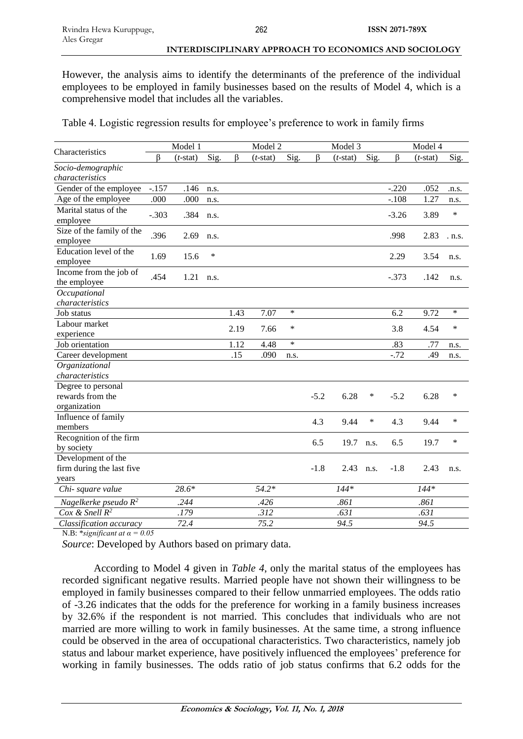However, the analysis aims to identify the determinants of the preference of the individual employees to be employed in family businesses based on the results of Model 4, which is a comprehensive model that includes all the variables.

Table 4. Logistic regression results for employee's preference to work in family firms

|                                                        | Model 1 |             |        |      | Model 2     |        |        | Model 3        |        | Model 4 |             |        |  |
|--------------------------------------------------------|---------|-------------|--------|------|-------------|--------|--------|----------------|--------|---------|-------------|--------|--|
| Characteristics                                        | $\beta$ | $(t$ -stat) | Sig.   | β    | $(t$ -stat) | Sig.   | β      | $(t$ -stat $)$ | Sig.   | β       | $(t$ -stat) | Sig.   |  |
| Socio-demographic                                      |         |             |        |      |             |        |        |                |        |         |             |        |  |
| characteristics                                        |         |             |        |      |             |        |        |                |        |         |             |        |  |
| Gender of the employee                                 | $-.157$ | .146        | n.s.   |      |             |        |        |                |        | $-.220$ | .052        | .n.s.  |  |
| Age of the employee                                    | .000    | .000        | n.s.   |      |             |        |        |                |        | $-.108$ | 1.27        | n.s.   |  |
| Marital status of the<br>employee                      | $-.303$ | .384        | n.s.   |      |             |        |        |                |        | $-3.26$ | 3.89        | $\ast$ |  |
| Size of the family of the<br>employee                  | .396    | 2.69        | n.s.   |      |             |        |        |                |        | .998    | 2.83        | n.S.   |  |
| Education level of the<br>employee                     | 1.69    | 15.6        | $\ast$ |      |             |        |        |                |        | 2.29    | 3.54        | n.s.   |  |
| Income from the job of<br>the employee                 | .454    | 1.21        | n.s.   |      |             |        |        |                |        | $-.373$ | .142        | n.s.   |  |
| Occupational                                           |         |             |        |      |             |        |        |                |        |         |             |        |  |
| characteristics                                        |         |             |        |      |             |        |        |                |        |         |             |        |  |
| Job status                                             |         |             |        | 1.43 | 7.07        | $\ast$ |        |                |        | 6.2     | 9.72        | $\ast$ |  |
| Labour market                                          |         |             |        | 2.19 | 7.66        | $\ast$ |        |                |        | 3.8     | 4.54        | $\ast$ |  |
| experience                                             |         |             |        |      |             |        |        |                |        |         |             |        |  |
| Job orientation                                        |         |             |        | 1.12 | 4.48        | $\ast$ |        |                |        | .83     | .77         | n.s.   |  |
| Career development                                     |         |             |        | .15  | .090        | n.s.   |        |                |        | $-.72$  | .49         | n.s.   |  |
| Organizational                                         |         |             |        |      |             |        |        |                |        |         |             |        |  |
| characteristics                                        |         |             |        |      |             |        |        |                |        |         |             |        |  |
| Degree to personal<br>rewards from the<br>organization |         |             |        |      |             |        | $-5.2$ | 6.28           | ∗      | $-5.2$  | 6.28        | $\ast$ |  |
| Influence of family<br>members                         |         |             |        |      |             |        | 4.3    | 9.44           | $\ast$ | 4.3     | 9.44        | $\ast$ |  |
| Recognition of the firm<br>by society                  |         |             |        |      |             |        | 6.5    | 19.7           | n.s.   | 6.5     | 19.7        | $\ast$ |  |
| Development of the                                     |         |             |        |      |             |        |        |                |        |         |             |        |  |
| firm during the last five                              |         |             |        |      |             |        | $-1.8$ | 2.43           | n.s.   | $-1.8$  | 2.43        | n.s.   |  |
| years                                                  |         |             |        |      |             |        |        |                |        |         |             |        |  |
| Chi-square value                                       |         | 28.6*       |        |      | $54.2*$     |        |        | $144*$         |        |         | $144*$      |        |  |
| Nagelkerke pseudo $R^2$                                |         | .244        |        |      | .426        |        |        | .861           |        |         | .861        |        |  |
| Cox & Snell $R^2$                                      |         | .179        |        |      | .312        |        |        | .631           |        |         | .631        |        |  |
| Classification accuracy                                |         | 72.4        |        |      | 75.2        |        |        | 94.5           |        |         | 94.5        |        |  |

N.B:  $*$ *significant at*  $\alpha = 0.05$ 

*Source*: Developed by Authors based on primary data.

According to Model 4 given in *Table 4*, only the marital status of the employees has recorded significant negative results. Married people have not shown their willingness to be employed in family businesses compared to their fellow unmarried employees. The odds ratio of -3.26 indicates that the odds for the preference for working in a family business increases by 32.6% if the respondent is not married. This concludes that individuals who are not married are more willing to work in family businesses. At the same time, a strong influence could be observed in the area of occupational characteristics. Two characteristics, namely job status and labour market experience, have positively influenced the employees' preference for working in family businesses. The odds ratio of job status confirms that 6.2 odds for the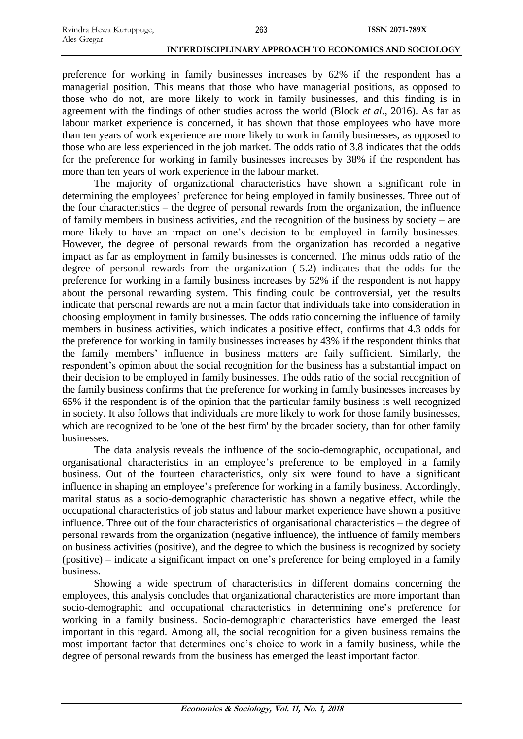preference for working in family businesses increases by 62% if the respondent has a managerial position. This means that those who have managerial positions, as opposed to those who do not, are more likely to work in family businesses, and this finding is in agreement with the findings of other studies across the world (Block *et al.*, 2016). As far as labour market experience is concerned, it has shown that those employees who have more than ten years of work experience are more likely to work in family businesses, as opposed to those who are less experienced in the job market. The odds ratio of 3.8 indicates that the odds for the preference for working in family businesses increases by 38% if the respondent has more than ten years of work experience in the labour market.

The majority of organizational characteristics have shown a significant role in determining the employees' preference for being employed in family businesses. Three out of the four characteristics – the degree of personal rewards from the organization, the influence of family members in business activities, and the recognition of the business by society – are more likely to have an impact on one's decision to be employed in family businesses. However, the degree of personal rewards from the organization has recorded a negative impact as far as employment in family businesses is concerned. The minus odds ratio of the degree of personal rewards from the organization (-5.2) indicates that the odds for the preference for working in a family business increases by 52% if the respondent is not happy about the personal rewarding system. This finding could be controversial, yet the results indicate that personal rewards are not a main factor that individuals take into consideration in choosing employment in family businesses. The odds ratio concerning the influence of family members in business activities, which indicates a positive effect, confirms that 4.3 odds for the preference for working in family businesses increases by 43% if the respondent thinks that the family members' influence in business matters are faily sufficient. Similarly, the respondent's opinion about the social recognition for the business has a substantial impact on their decision to be employed in family businesses. The odds ratio of the social recognition of the family business confirms that the preference for working in family businesses increases by 65% if the respondent is of the opinion that the particular family business is well recognized in society. It also follows that individuals are more likely to work for those family businesses, which are recognized to be 'one of the best firm' by the broader society, than for other family businesses.

The data analysis reveals the influence of the socio-demographic, occupational, and organisational characteristics in an employee's preference to be employed in a family business. Out of the fourteen characteristics, only six were found to have a significant influence in shaping an employee's preference for working in a family business. Accordingly, marital status as a socio-demographic characteristic has shown a negative effect, while the occupational characteristics of job status and labour market experience have shown a positive influence. Three out of the four characteristics of organisational characteristics – the degree of personal rewards from the organization (negative influence), the influence of family members on business activities (positive), and the degree to which the business is recognized by society (positive) – indicate a significant impact on one's preference for being employed in a family business.

Showing a wide spectrum of characteristics in different domains concerning the employees, this analysis concludes that organizational characteristics are more important than socio-demographic and occupational characteristics in determining one's preference for working in a family business. Socio-demographic characteristics have emerged the least important in this regard. Among all, the social recognition for a given business remains the most important factor that determines one's choice to work in a family business, while the degree of personal rewards from the business has emerged the least important factor.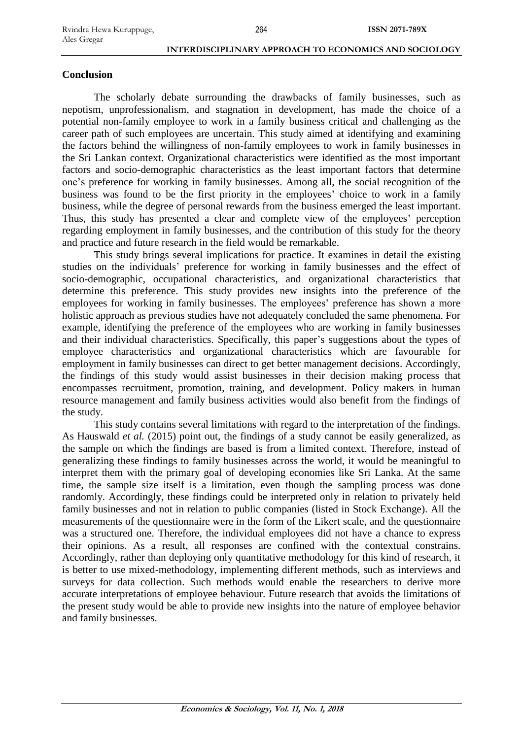### **Conclusion**

The scholarly debate surrounding the drawbacks of family businesses, such as nepotism, unprofessionalism, and stagnation in development, has made the choice of a potential non-family employee to work in a family business critical and challenging as the career path of such employees are uncertain. This study aimed at identifying and examining the factors behind the willingness of non-family employees to work in family businesses in the Sri Lankan context. Organizational characteristics were identified as the most important factors and socio-demographic characteristics as the least important factors that determine one's preference for working in family businesses. Among all, the social recognition of the business was found to be the first priority in the employees' choice to work in a family business, while the degree of personal rewards from the business emerged the least important. Thus, this study has presented a clear and complete view of the employees' perception regarding employment in family businesses, and the contribution of this study for the theory and practice and future research in the field would be remarkable.

This study brings several implications for practice. It examines in detail the existing studies on the individuals' preference for working in family businesses and the effect of socio-demographic, occupational characteristics, and organizational characteristics that determine this preference. This study provides new insights into the preference of the employees for working in family businesses. The employees' preference has shown a more holistic approach as previous studies have not adequately concluded the same phenomena. For example, identifying the preference of the employees who are working in family businesses and their individual characteristics. Specifically, this paper's suggestions about the types of employee characteristics and organizational characteristics which are favourable for employment in family businesses can direct to get better management decisions. Accordingly, the findings of this study would assist businesses in their decision making process that encompasses recruitment, promotion, training, and development. Policy makers in human resource management and family business activities would also benefit from the findings of the study.

This study contains several limitations with regard to the interpretation of the findings. As Hauswald *et al.* (2015) point out, the findings of a study cannot be easily generalized, as the sample on which the findings are based is from a limited context. Therefore, instead of generalizing these findings to family businesses across the world, it would be meaningful to interpret them with the primary goal of developing economies like Sri Lanka. At the same time, the sample size itself is a limitation, even though the sampling process was done randomly. Accordingly, these findings could be interpreted only in relation to privately held family businesses and not in relation to public companies (listed in Stock Exchange). All the measurements of the questionnaire were in the form of the Likert scale, and the questionnaire was a structured one. Therefore, the individual employees did not have a chance to express their opinions. As a result, all responses are confined with the contextual constrains. Accordingly, rather than deploying only quantitative methodology for this kind of research, it is better to use mixed-methodology, implementing different methods, such as interviews and surveys for data collection. Such methods would enable the researchers to derive more accurate interpretations of employee behaviour. Future research that avoids the limitations of the present study would be able to provide new insights into the nature of employee behavior and family businesses.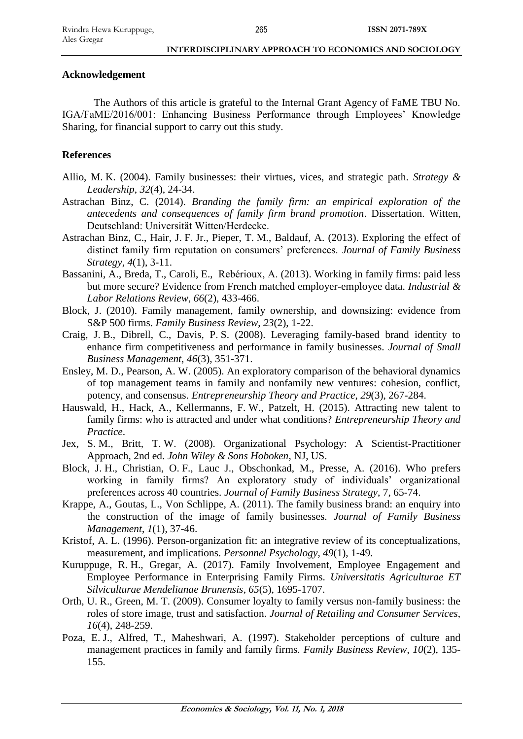### **Acknowledgement**

The Authors of this article is grateful to the Internal Grant Agency of FaME TBU No. IGA/FaME/2016/001: Enhancing Business Performance through Employees' Knowledge Sharing, for financial support to carry out this study.

# **References**

- Allio, M. K. (2004). Family businesses: their virtues, vices, and strategic path. *Strategy & Leadership*, *32*(4), 24-34.
- Astrachan Binz, C. (2014). *Branding the family firm: an empirical exploration of the antecedents and consequences of family firm brand promotion*. Dissertation. Witten, Deutschland: Universität Witten/Herdecke.
- Astrachan Binz, C., Hair, J. F. Jr., Pieper, T. M., Baldauf, A. (2013). Exploring the effect of distinct family firm reputation on consumers' preferences. *Journal of Family Business Strategy*, *4*(1), 3-11.
- Bassanini, A., Breda, T., Caroli, E., Rebérioux, A. (2013). Working in family firms: paid less but more secure? Evidence from French matched employer-employee data. *Industrial & Labor Relations Review*, *66*(2), 433-466.
- Block, J. (2010). Family management, family ownership, and downsizing: evidence from S&P 500 firms. *Family Business Review*, *23*(2), 1-22.
- Craig, J. B., Dibrell, C., Davis, P. S. (2008). Leveraging family-based brand identity to enhance firm competitiveness and performance in family businesses. *Journal of Small Business Management*, *46*(3), 351-371.
- Ensley, M. D., Pearson, A. W. (2005). An exploratory comparison of the behavioral dynamics of top management teams in family and nonfamily new ventures: cohesion, conflict, potency, and consensus. *Entrepreneurship Theory and Practice*, *29*(3), 267-284.
- Hauswald, H., Hack, A., Kellermanns, F. W., Patzelt, H. (2015). Attracting new talent to family firms: who is attracted and under what conditions? *Entrepreneurship Theory and Practice*.
- Jex, S. M., Britt, T. W. (2008). Organizational Psychology: A Scientist-Practitioner Approach, 2nd ed. *John Wiley & Sons Hoboken*, NJ, US.
- Block, J. H., Christian, O. F., Lauc J., Obschonkad, M., Presse, A. (2016). Who prefers working in family firms? An exploratory study of individuals' organizational preferences across 40 countries. *Journal of Family Business Strategy*, 7, 65-74.
- Krappe, A., Goutas, L., Von Schlippe, A. (2011). The family business brand: an enquiry into the construction of the image of family businesses. *Journal of Family Business Management*, *1*(1), 37-46.
- Kristof, A. L. (1996). Person-organization fit: an integrative review of its conceptualizations, measurement, and implications. *Personnel Psychology*, *49*(1), 1-49.
- Kuruppuge, R. H., Gregar, A. (2017). Family Involvement, Employee Engagement and Employee Performance in Enterprising Family Firms. *Universitatis Agriculturae ET Silviculturae Mendelianae Brunensis*, *65*(5), 1695-1707.
- Orth, U. R., Green, M. T. (2009). Consumer loyalty to family versus non-family business: the roles of store image, trust and satisfaction. *Journal of Retailing and Consumer Services*, *16*(4), 248-259.
- Poza, E. J., Alfred, T., Maheshwari, A. (1997). Stakeholder perceptions of culture and management practices in family and family firms. *Family Business Review*, *10*(2), 135- 155.